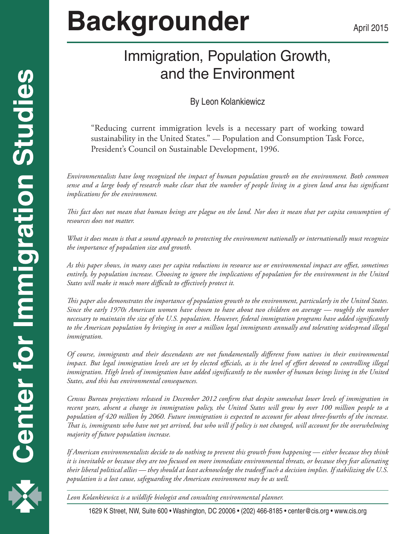# Immigration, Population Growth, and the Environment

### By Leon Kolankiewicz

"Reducing current immigration levels is a necessary part of working toward sustainability in the United States." *—* Population and Consumption Task Force, President's Council on Sustainable Development, 1996.

*Environmentalists have long recognized the impact of human population growth on the environment. Both common sense and a large body of research make clear that the number of people living in a given land area has significant implications for the environment.*

*This fact does not mean that human beings are plague on the land. Nor does it mean that per capita consumption of resources does not matter.*

*What it does mean is that a sound approach to protecting the environment nationally or internationally must recognize the importance of population size and growth.*

*As this paper shows, in many cases per capita reductions in resource use or environmental impact are offset, sometimes entirely, by population increase. Choosing to ignore the implications of population for the environment in the United States will make it much more difficult to effectively protect it.*

*This paper also demonstrates the importance of population growth to the environment, particularly in the United States. Since the early 1970s American women have chosen to have about two children on average — roughly the number necessary to maintain the size of the U.S. population. However, federal immigration programs have added significantly to the American population by bringing in over a million legal immigrants annually and tolerating widespread illegal immigration.*

*Of course, immigrants and their descendants are not fundamentally different from natives in their environmental impact. But legal immigration levels are set by elected officials, as is the level of effort devoted to controlling illegal*  immigration. High levels of immigration have added significantly to the number of human beings living in the United *States, and this has environmental consequences.*

*Census Bureau projections released in December 2012 confirm that despite somewhat lower levels of immigration in recent years, absent a change in immigration policy, the United States will grow by over 100 million people to a population of 420 million by 2060. Future immigration is expected to account for about three-fourths of the increase. That is, immigrants who have not yet arrived, but who will if policy is not changed, will account for the overwhelming majority of future population increase.*

*If American environmentalists decide to do nothing to prevent this growth from happening — either because they think it is inevitable or because they are too focused on more immediate environmental threats, or because they fear alienating their liberal political allies — they should at least acknowledge the tradeoff such a decision implies. If stabilizing the U.S. population is a lost cause, safeguarding the American environment may be as well.*

*Leon Kolankiewicz is a wildlife biologist and consulting environmental planner.*

1 1629 K Street, NW, Suite 600 • Washington, DC 20006 • (202) 466-8185 • center@cis.org • www.cis.org

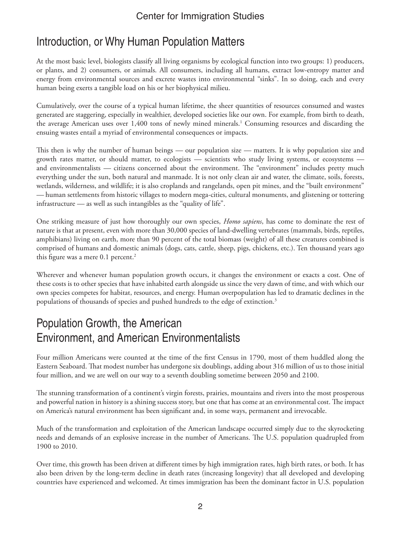### Introduction, or Why Human Population Matters

At the most basic level, biologists classify all living organisms by ecological function into two groups: 1) producers, or plants, and 2) consumers, or animals. All consumers, including all humans, extract low-entropy matter and energy from environmental sources and excrete wastes into environmental "sinks". In so doing, each and every human being exerts a tangible load on his or her biophysical milieu.

Cumulatively, over the course of a typical human lifetime, the sheer quantities of resources consumed and wastes generated are staggering, especially in wealthier, developed societies like our own. For example, from birth to death, the average American uses over 1,400 tons of newly mined minerals.<sup>1</sup> Consuming resources and discarding the ensuing wastes entail a myriad of environmental consequences or impacts.

This then is why the number of human beings *—* our population size *—* matters. It is why population size and growth rates matter, or should matter, to ecologists *—* scientists who study living systems, or ecosystems  and environmentalists *—* citizens concerned about the environment. The "environment" includes pretty much everything under the sun, both natural and manmade. It is not only clean air and water, the climate, soils, forests, wetlands, wilderness, and wildlife; it is also croplands and rangelands, open pit mines, and the "built environment" *—* human settlements from historic villages to modern mega-cities, cultural monuments, and glistening or tottering infrastructure *—* as well as such intangibles as the "quality of life".

One striking measure of just how thoroughly our own species, *Homo sapiens*, has come to dominate the rest of nature is that at present, even with more than 30,000 species of land-dwelling vertebrates (mammals, birds, reptiles, amphibians) living on earth, more than 90 percent of the total biomass (weight) of all these creatures combined is comprised of humans and domestic animals (dogs, cats, cattle, sheep, pigs, chickens, etc.). Ten thousand years ago this figure was a mere  $0.1$  percent.<sup>2</sup>

Wherever and whenever human population growth occurs, it changes the environment or exacts a cost. One of these costs is to other species that have inhabited earth alongside us since the very dawn of time, and with which our own species competes for habitat, resources, and energy. Human overpopulation has led to dramatic declines in the populations of thousands of species and pushed hundreds to the edge of extinction.<sup>3</sup>

# Population Growth, the American Environment, and American Environmentalists

Four million Americans were counted at the time of the first Census in 1790, most of them huddled along the Eastern Seaboard. That modest number has undergone six doublings, adding about 316 million of us to those initial four million, and we are well on our way to a seventh doubling sometime between 2050 and 2100.

The stunning transformation of a continent's virgin forests, prairies, mountains and rivers into the most prosperous and powerful nation in history is a shining success story, but one that has come at an environmental cost. The impact on America's natural environment has been significant and, in some ways, permanent and irrevocable.

Much of the transformation and exploitation of the American landscape occurred simply due to the skyrocketing needs and demands of an explosive increase in the number of Americans. The U.S. population quadrupled from 1900 to 2010.

Over time, this growth has been driven at different times by high immigration rates, high birth rates, or both. It has also been driven by the long-term decline in death rates (increasing longevity) that all developed and developing countries have experienced and welcomed. At times immigration has been the dominant factor in U.S. population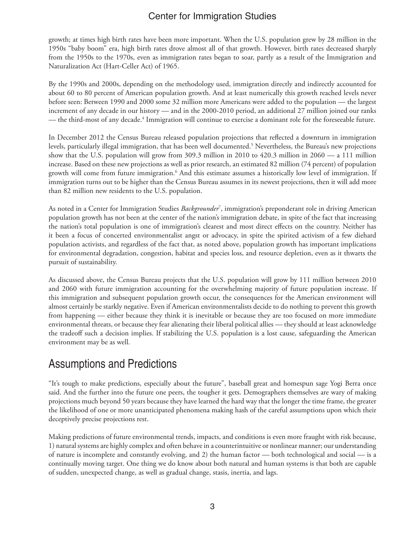growth; at times high birth rates have been more important. When the U.S. population grew by 28 million in the 1950s "baby boom" era, high birth rates drove almost all of that growth. However, birth rates decreased sharply from the 1950s to the 1970s, even as immigration rates began to soar, partly as a result of the Immigration and Naturalization Act (Hart-Celler Act) of 1965.

By the 1990s and 2000s, depending on the methodology used, immigration directly and indirectly accounted for about 60 to 80 percent of American population growth. And at least numerically this growth reached levels never before seen: Between 1990 and 2000 some 32 million more Americans were added to the population *—* the largest increment of any decade in our history *—* and in the 2000-2010 period, an additional 27 million joined our ranks — the third-most of any decade.<sup>4</sup> Immigration will continue to exercise a dominant role for the foreseeable future.

In December 2012 the Census Bureau released population projections that reflected a downturn in immigration levels, particularly illegal immigration, that has been well documented.5 Nevertheless, the Bureau's new projections show that the U.S. population will grow from 309.3 million in 2010 to 420.3 million in 2060 — a 111 million increase. Based on these new projections as well as prior research, an estimated 82 million (74 percent) of population growth will come from future immigration.<sup>6</sup> And this estimate assumes a historically low level of immigration. If immigration turns out to be higher than the Census Bureau assumes in its newest projections, then it will add more than 82 million new residents to the U.S. population.

As noted in a Center for Immigration Studies *Backgrounder*<sup>7</sup> , immigration's preponderant role in driving American population growth has not been at the center of the nation's immigration debate, in spite of the fact that increasing the nation's total population is one of immigration's clearest and most direct effects on the country. Neither has it been a focus of concerted environmentalist angst or advocacy, in spite the spirited activism of a few diehard population activists, and regardless of the fact that, as noted above, population growth has important implications for environmental degradation, congestion, habitat and species loss, and resource depletion, even as it thwarts the pursuit of sustainability.

As discussed above, the Census Bureau projects that the U.S. population will grow by 111 million between 2010 and 2060 with future immigration accounting for the overwhelming majority of future population increase. If this immigration and subsequent population growth occur, the consequences for the American environment will almost certainly be starkly negative. Even if American environmentalists decide to do nothing to prevent this growth from happening *—* either because they think it is inevitable or because they are too focused on more immediate environmental threats, or because they fear alienating their liberal political allies *—* they should at least acknowledge the tradeoff such a decision implies. If stabilizing the U.S. population is a lost cause, safeguarding the American environment may be as well.

# Assumptions and Predictions

"It's tough to make predictions, especially about the future", baseball great and homespun sage Yogi Berra once said. And the further into the future one peers, the tougher it gets. Demographers themselves are wary of making projections much beyond 50 years because they have learned the hard way that the longer the time frame, the greater the likelihood of one or more unanticipated phenomena making hash of the careful assumptions upon which their deceptively precise projections rest.

Making predictions of future environmental trends, impacts, and conditions is even more fraught with risk because, 1) natural systems are highly complex and often behave in a counterintuitive or nonlinear manner; our understanding of nature is incomplete and constantly evolving, and 2) the human factor *—* both technological and social *—* is a continually moving target. One thing we do know about both natural and human systems is that both are capable of sudden, unexpected change, as well as gradual change, stasis, inertia, and lags.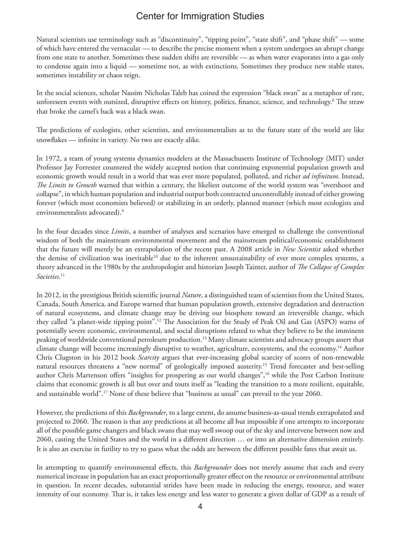Natural scientists use terminology such as "discontinuity", "tipping point", "state shift", and "phase shift" *—* some of which have entered the vernacular *—* to describe the precise moment when a system undergoes an abrupt change from one state to another. Sometimes these sudden shifts are reversible *—* as when water evaporates into a gas only to condense again into a liquid *—* sometime not, as with extinctions. Sometimes they produce new stable states, sometimes instability or chaos reign.

In the social sciences, scholar Nassim Nicholas Taleb has coined the expression "black swan" as a metaphor of rare, unforeseen events with outsized, disruptive effects on history, politics, finance, science, and technology.8 The straw that broke the camel's back was a black swan.

The predictions of ecologists, other scientists, and environmentalists as to the future state of the world are like snowflakes — infinite in variety. No two are exactly alike.

In 1972, a team of young systems dynamics modelers at the Massachusetts Institute of Technology (MIT) under Professor Jay Forrester countered the widely accepted notion that continuing exponential population growth and economic growth would result in a world that was ever more populated, polluted, and richer *ad infinitum*. Instead, *The Limits to Growth* warned that within a century, the likeliest outcome of the world system was "overshoot and collapse", in which human population and industrial output both contracted uncontrollably instead of either growing forever (which most economists believed) or stabilizing in an orderly, planned manner (which most ecologists and environmentalists advocated).<sup>9</sup>

In the four decades since *Limits*, a number of analyses and scenarios have emerged to challenge the conventional wisdom of both the mainstream environmental movement and the mainstream political/economic establishment that the future will merely be an extrapolation of the recent past. A 2008 article in *New Scientist* asked whether the demise of civilization was inevitable<sup>10</sup> due to the inherent unsustainability of ever more complex systems, a theory advanced in the 1980s by the anthropologist and historian Joseph Tainter, author of *The Collapse of Complex Societies*. 11

In 2012, in the prestigious British scientific journal *Nature*, a distinguished team of scientists from the United States, Canada, South America, and Europe warned that human population growth, extensive degradation and destruction of natural ecosystems, and climate change may be driving our biosphere toward an irreversible change, which they called "a planet-wide tipping point".12 The Association for the Study of Peak Oil and Gas (ASPO) warns of potentially severe economic, environmental, and social disruptions related to what they believe to be the imminent peaking of worldwide conventional petroleum production.13 Many climate scientists and advocacy groups assert that climate change will become increasingly disruptive to weather, agriculture, ecosystems, and the economy.14 Author Chris Clugston in his 2012 book *Scarcity* argues that ever-increasing global scarcity of scores of non-renewable natural resources threatens a "new normal" of geologically imposed austerity.15 Trend forecaster and best-selling author Chris Martenson offers "insights for prospering as our world changes",16 while the Post Carbon Institute claims that economic growth is all but over and touts itself as "leading the transition to a more resilient, equitable, and sustainable world".17 None of these believe that "business as usual" can prevail to the year 2060.

However, the predictions of this *Backgrounder*, to a large extent, do assume business-as-usual trends extrapolated and projected to 2060. The reason is that any predictions at all become all but impossible if one attempts to incorporate all of the possible game changers and black swans that may well swoop out of the sky and intervene between now and 2060, casting the United States and the world in a different direction … or into an alternative dimension entirely. It is also an exercise in futility to try to guess what the odds are between the different possible fates that await us.

In attempting to quantify environmental effects, this *Backgrounder* does not merely assume that each and every numerical increase in population has an exact proportionally greater effect on the resource or environmental attribute in question. In recent decades, substantial strides have been made in reducing the energy, resource, and water intensity of our economy. That is, it takes less energy and less water to generate a given dollar of GDP as a result of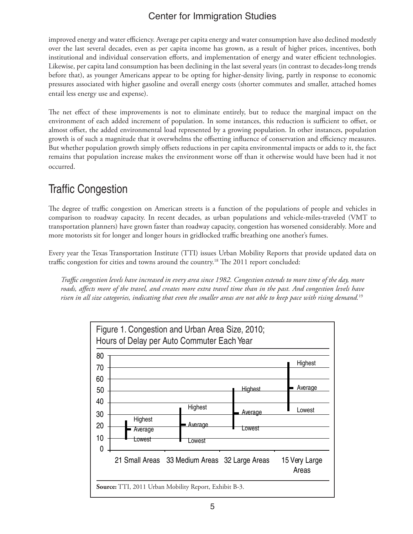improved energy and water efficiency. Average per capita energy and water consumption have also declined modestly over the last several decades, even as per capita income has grown, as a result of higher prices, incentives, both institutional and individual conservation efforts, and implementation of energy and water efficient technologies. Likewise, per capita land consumption has been declining in the last several years (in contrast to decades-long trends before that), as younger Americans appear to be opting for higher-density living, partly in response to economic pressures associated with higher gasoline and overall energy costs (shorter commutes and smaller, attached homes entail less energy use and expense).

The net effect of these improvements is not to eliminate entirely, but to reduce the marginal impact on the environment of each added increment of population. In some instances, this reduction is sufficient to offset, or almost offset, the added environmental load represented by a growing population. In other instances, population growth is of such a magnitude that it overwhelms the offsetting influence of conservation and efficiency measures. But whether population growth simply offsets reductions in per capita environmental impacts or adds to it, the fact remains that population increase makes the environment worse off than it otherwise would have been had it not occurred.

# Traffic Congestion

The degree of traffic congestion on American streets is a function of the populations of people and vehicles in comparison to roadway capacity. In recent decades, as urban populations and vehicle-miles-traveled (VMT to transportation planners) have grown faster than roadway capacity, congestion has worsened considerably. More and more motorists sit for longer and longer hours in gridlocked traffic breathing one another's fumes.

Every year the Texas Transportation Institute (TTI) issues Urban Mobility Reports that provide updated data on traffic congestion for cities and towns around the country.<sup>18</sup> The 2011 report concluded:

*Traffic congestion levels have increased in every area since 1982. Congestion extends to more time of the day, more*  roads, affects more of the travel, and creates more extra travel time than in the past. And congestion levels have *risen in all size categories, indicating that even the smaller areas are not able to keep pace with rising demand.*19

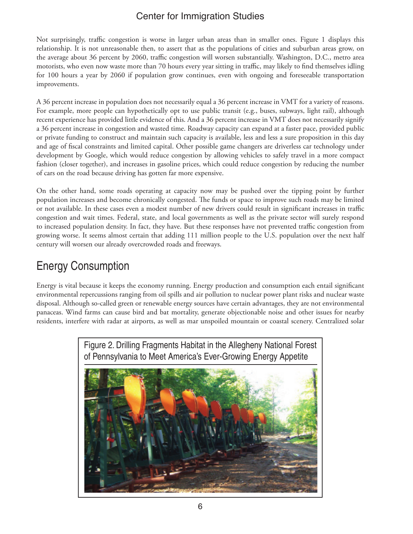Not surprisingly, traffic congestion is worse in larger urban areas than in smaller ones. Figure 1 displays this relationship. It is not unreasonable then, to assert that as the populations of cities and suburban areas grow, on the average about 36 percent by 2060, traffic congestion will worsen substantially. Washington, D.C., metro area motorists, who even now waste more than 70 hours every year sitting in traffic, may likely to find themselves idling for 100 hours a year by 2060 if population grow continues, even with ongoing and foreseeable transportation improvements.

A 36 percent increase in population does not necessarily equal a 36 percent increase in VMT for a variety of reasons. For example, more people can hypothetically opt to use public transit (e.g., buses, subways, light rail), although recent experience has provided little evidence of this. And a 36 percent increase in VMT does not necessarily signify a 36 percent increase in congestion and wasted time. Roadway capacity can expand at a faster pace, provided public or private funding to construct and maintain such capacity is available, less and less a sure proposition in this day and age of fiscal constraints and limited capital. Other possible game changers are driverless car technology under development by Google, which would reduce congestion by allowing vehicles to safely travel in a more compact fashion (closer together), and increases in gasoline prices, which could reduce congestion by reducing the number of cars on the road because driving has gotten far more expensive.

On the other hand, some roads operating at capacity now may be pushed over the tipping point by further population increases and become chronically congested. The funds or space to improve such roads may be limited or not available. In these cases even a modest number of new drivers could result in significant increases in traffic congestion and wait times. Federal, state, and local governments as well as the private sector will surely respond to increased population density. In fact, they have. But these responses have not prevented traffic congestion from growing worse. It seems almost certain that adding 111 million people to the U.S. population over the next half century will worsen our already overcrowded roads and freeways.

# Energy Consumption

Energy is vital because it keeps the economy running. Energy production and consumption each entail significant environmental repercussions ranging from oil spills and air pollution to nuclear power plant risks and nuclear waste disposal. Although so-called green or renewable energy sources have certain advantages, they are not environmental panaceas. Wind farms can cause bird and bat mortality, generate objectionable noise and other issues for nearby residents, interfere with radar at airports, as well as mar unspoiled mountain or coastal scenery. Centralized solar

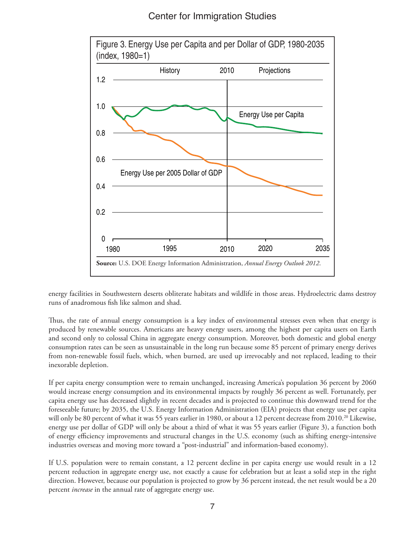

energy facilities in Southwestern deserts obliterate habitats and wildlife in those areas. Hydroelectric dams destroy runs of anadromous fish like salmon and shad.

Thus, the rate of annual energy consumption is a key index of environmental stresses even when that energy is produced by renewable sources. Americans are heavy energy users, among the highest per capita users on Earth and second only to colossal China in aggregate energy consumption. Moreover, both domestic and global energy consumption rates can be seen as unsustainable in the long run because some 85 percent of primary energy derives from non-renewable fossil fuels, which, when burned, are used up irrevocably and not replaced, leading to their inexorable depletion.

If per capita energy consumption were to remain unchanged, increasing America's population 36 percent by 2060 would increase energy consumption and its environmental impacts by roughly 36 percent as well. Fortunately, per capita energy use has decreased slightly in recent decades and is projected to continue this downward trend for the foreseeable future; by 2035, the U.S. Energy Information Administration (EIA) projects that energy use per capita will only be 80 percent of what it was 55 years earlier in 1980, or about a 12 percent decrease from 2010.<sup>20</sup> Likewise, energy use per dollar of GDP will only be about a third of what it was 55 years earlier (Figure 3), a function both of energy efficiency improvements and structural changes in the U.S. economy (such as shifting energy-intensive industries overseas and moving more toward a "post-industrial" and information-based economy).

If U.S. population were to remain constant, a 12 percent decline in per capita energy use would result in a 12 percent reduction in aggregate energy use, not exactly a cause for celebration but at least a solid step in the right direction. However, because our population is projected to grow by 36 percent instead, the net result would be a 20 percent *increase* in the annual rate of aggregate energy use.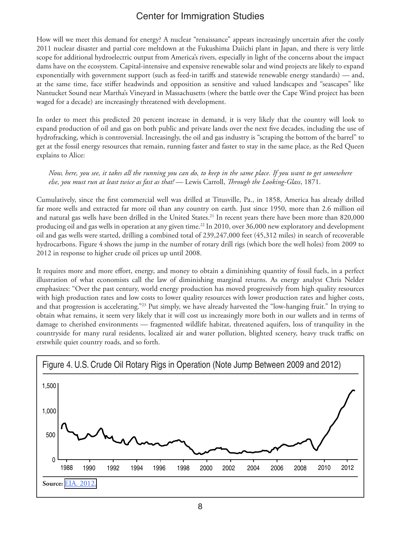How will we meet this demand for energy? A nuclear "renaissance" appears increasingly uncertain after the costly 2011 nuclear disaster and partial core meltdown at the Fukushima Daiichi plant in Japan, and there is very little scope for additional hydroelectric output from America's rivers, especially in light of the concerns about the impact dams have on the ecosystem. Capital-intensive and expensive renewable solar and wind projects are likely to expand exponentially with government support (such as feed-in tariffs and statewide renewable energy standards) *—* and, at the same time, face stiffer headwinds and opposition as sensitive and valued landscapes and "seascapes" like Nantucket Sound near Martha's Vineyard in Massachusetts (where the battle over the Cape Wind project has been waged for a decade) are increasingly threatened with development.

In order to meet this predicted 20 percent increase in demand, it is very likely that the country will look to expand production of oil and gas on both public and private lands over the next five decades, including the use of hydrofracking, which is controversial. Increasingly, the oil and gas industry is "scraping the bottom of the barrel" to get at the fossil energy resources that remain, running faster and faster to stay in the same place, as the Red Queen explains to Alice:

*Now, here, you see, it takes all the running you can do, to keep in the same place. If you want to get somewhere else, you must run at least twice as fast as that! —* Lewis Carroll, *Through the Looking-Glass*, 1871.

Cumulatively, since the first commercial well was drilled at Titusville, Pa., in 1858, America has already drilled far more wells and extracted far more oil than any country on earth. Just since 1950, more than 2.6 million oil and natural gas wells have been drilled in the United States.<sup>21</sup> In recent years there have been more than 820,000 producing oil and gas wells in operation at any given time.22 In 2010, over 36,000 new exploratory and development oil and gas wells were started, drilling a combined total of 239,247,000 feet (45,312 miles) in search of recoverable hydrocarbons. Figure 4 shows the jump in the number of rotary drill rigs (which bore the well holes) from 2009 to 2012 in response to higher crude oil prices up until 2008.

It requires more and more effort, energy, and money to obtain a diminishing quantity of fossil fuels, in a perfect illustration of what economists call the law of diminishing marginal returns. As energy analyst Chris Nelder emphasizes: "Over the past century, world energy production has moved progressively from high quality resources with high production rates and low costs to lower quality resources with lower production rates and higher costs, and that progression is accelerating."23 Put simply, we have already harvested the "low-hanging fruit." In trying to obtain what remains, it seem very likely that it will cost us increasingly more both in our wallets and in terms of damage to cherished environments *—* fragmented wildlife habitat, threatened aquifers, loss of tranquility in the countryside for many rural residents, localized air and water pollution, blighted scenery, heavy truck traffic on erstwhile quiet country roads, and so forth.

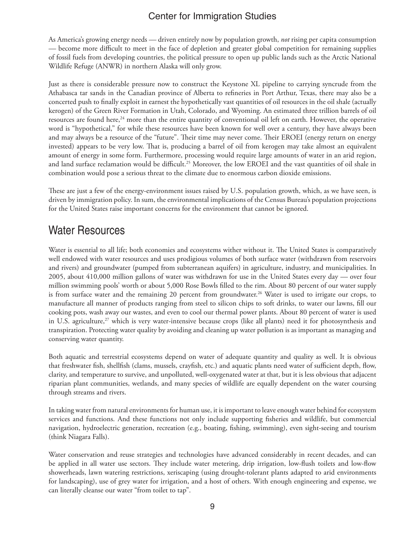As America's growing energy needs *—* driven entirely now by population growth, *not* rising per capita consumption *—* become more difficult to meet in the face of depletion and greater global competition for remaining supplies of fossil fuels from developing countries, the political pressure to open up public lands such as the Arctic National Wildlife Refuge (ANWR) in northern Alaska will only grow.

Just as there is considerable pressure now to construct the Keystone XL pipeline to carrying syncrude from the Athabasca tar sands in the Canadian province of Alberta to refineries in Port Arthur, Texas, there may also be a concerted push to finally exploit in earnest the hypothetically vast quantities of oil resources in the oil shale (actually kerogen) of the Green River Formation in Utah, Colorado, and Wyoming. An estimated three trillion barrels of oil resources are found here,<sup>24</sup> more than the entire quantity of conventional oil left on earth. However, the operative word is "hypothetical," for while these resources have been known for well over a century, they have always been and may always be a resource of the "future". Their time may never come. Their EROEI (energy return on energy invested) appears to be very low. That is, producing a barrel of oil from kerogen may take almost an equivalent amount of energy in some form. Furthermore, processing would require large amounts of water in an arid region, and land surface reclamation would be difficult.<sup>25</sup> Moreover, the low EROEI and the vast quantities of oil shale in combination would pose a serious threat to the climate due to enormous carbon dioxide emissions.

These are just a few of the energy-environment issues raised by U.S. population growth, which, as we have seen, is driven by immigration policy. In sum, the environmental implications of the Census Bureau's population projections for the United States raise important concerns for the environment that cannot be ignored.

### Water Resources

Water is essential to all life; both economies and ecosystems wither without it. The United States is comparatively well endowed with water resources and uses prodigious volumes of both surface water (withdrawn from reservoirs and rivers) and groundwater (pumped from subterranean aquifers) in agriculture, industry, and municipalities. In 2005, about 410,000 million gallons of water was withdrawn for use in the United States every day *—* over four million swimming pools' worth or about 5,000 Rose Bowls filled to the rim. About 80 percent of our water supply is from surface water and the remaining 20 percent from groundwater.<sup>26</sup> Water is used to irrigate our crops, to manufacture all manner of products ranging from steel to silicon chips to soft drinks, to water our lawns, fill our cooking pots, wash away our wastes, and even to cool our thermal power plants. About 80 percent of water is used in U.S. agriculture, $27$  which is very water-intensive because crops (like all plants) need it for photosynthesis and transpiration. Protecting water quality by avoiding and cleaning up water pollution is as important as managing and conserving water quantity.

Both aquatic and terrestrial ecosystems depend on water of adequate quantity and quality as well. It is obvious that freshwater fish, shellfish (clams, mussels, crayfish, etc.) and aquatic plants need water of sufficient depth, flow, clarity, and temperature to survive, and unpolluted, well-oxygenated water at that, but it is less obvious that adjacent riparian plant communities, wetlands, and many species of wildlife are equally dependent on the water coursing through streams and rivers.

In taking water from natural environments for human use, it is important to leave enough water behind for ecosystem services and functions. And these functions not only include supporting fisheries and wildlife, but commercial navigation, hydroelectric generation, recreation (e.g., boating, fishing, swimming), even sight-seeing and tourism (think Niagara Falls).

Water conservation and reuse strategies and technologies have advanced considerably in recent decades, and can be applied in all water use sectors. They include water metering, drip irrigation, low-flush toilets and low-flow showerheads, lawn watering restrictions, xeriscaping (using drought-tolerant plants adapted to arid environments for landscaping), use of grey water for irrigation, and a host of others. With enough engineering and expense, we can literally cleanse our water "from toilet to tap".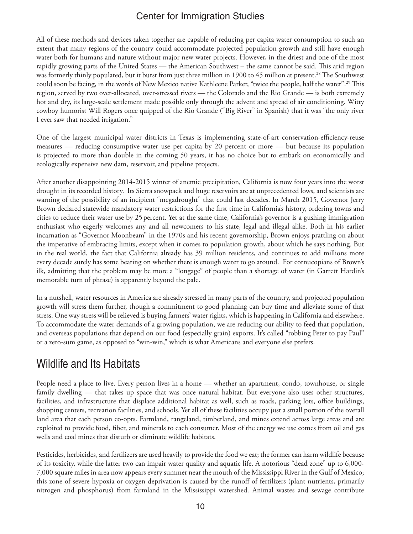All of these methods and devices taken together are capable of reducing per capita water consumption to such an extent that many regions of the country could accommodate projected population growth and still have enough water both for humans and nature without major new water projects. However, in the driest and one of the most rapidly growing parts of the United States *—* the American Southwest – the same cannot be said. This arid region was formerly thinly populated, but it burst from just three million in 1900 to 45 million at present.<sup>28</sup> The Southwest could soon be facing, in the words of New Mexico native Kathleene Parker, "twice the people, half the water".29 This region, served by two over-allocated, over-stressed rivers *—* the Colorado and the Rio Grande *—* is both extremely hot and dry, its large-scale settlement made possible only through the advent and spread of air conditioning. Witty cowboy humorist Will Rogers once quipped of the Rio Grande ("Big River" in Spanish) that it was "the only river I ever saw that needed irrigation."

One of the largest municipal water districts in Texas is implementing state-of-art conservation-efficiency-reuse measures *—* reducing consumptive water use per capita by 20 percent or more *—* but because its population is projected to more than double in the coming 50 years, it has no choice but to embark on economically and ecologically expensive new dam, reservoir, and pipeline projects.

After another disappointing 2014-2015 winter of anemic precipitation, California is now four years into the worst drought in its recorded history. Its Sierra snowpack and huge reservoirs are at unprecedented lows, and scientists are warning of the possibility of an incipient "megadrought" that could last decades. In March 2015, Governor Jerry Brown declared statewide mandatory water restrictions for the first time in California's history, ordering towns and cities to reduce their water use by 25percent. Yet at the same time, California's governor is a gushing immigration enthusiast who eagerly welcomes any and all newcomers to his state, legal and illegal alike. Both in his earlier incarnation as "Governor Moonbeam" in the 1970s and his recent governorship, Brown enjoys prattling on about the imperative of embracing limits, except when it comes to population growth, about which he says nothing. But in the real world, the fact that California already has 39 million residents, and continues to add millions more every decade surely has some bearing on whether there is enough water to go around. For cornucopians of Brown's ilk, admitting that the problem may be more a "longage" of people than a shortage of water (in Garrett Hardin's memorable turn of phrase) is apparently beyond the pale.

In a nutshell, water resources in America are already stressed in many parts of the country, and projected population growth will stress them further, though a commitment to good planning can buy time and alleviate some of that stress. One way stress will be relieved is buying farmers' water rights, which is happening in California and elsewhere. To accommodate the water demands of a growing population, we are reducing our ability to feed that population, and overseas populations that depend on our food (especially grain) exports. It's called "robbing Peter to pay Paul" or a zero-sum game, as opposed to "win-win," which is what Americans and everyone else prefers.

### Wildlife and Its Habitats

People need a place to live. Every person lives in a home *—* whether an apartment, condo, townhouse, or single family dwelling *—* that takes up space that was once natural habitat. But everyone also uses other structures, facilities, and infrastructure that displace additional habitat as well, such as roads, parking lots, office buildings, shopping centers, recreation facilities, and schools. Yet all of these facilities occupy just a small portion of the overall land area that each person co-opts. Farmland, rangeland, timberland, and mines extend across large areas and are exploited to provide food, fiber, and minerals to each consumer. Most of the energy we use comes from oil and gas wells and coal mines that disturb or eliminate wildlife habitats.

Pesticides, herbicides, and fertilizers are used heavily to provide the food we eat; the former can harm wildlife because of its toxicity, while the latter two can impair water quality and aquatic life. A notorious "dead zone" up to 6,000- 7,000 square miles in area now appears every summer near the mouth of the Mississippi River in the Gulf of Mexico; this zone of severe hypoxia or oxygen deprivation is caused by the runoff of fertilizers (plant nutrients, primarily nitrogen and phosphorus) from farmland in the Mississippi watershed. Animal wastes and sewage contribute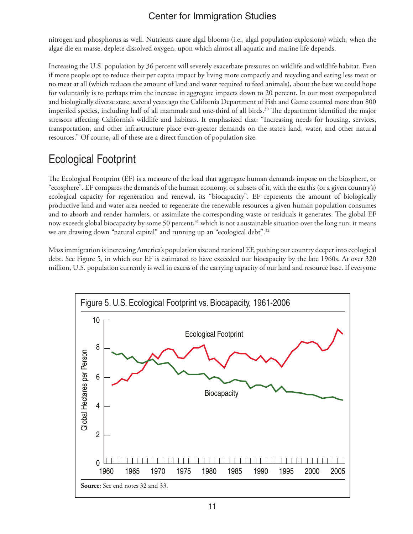nitrogen and phosphorus as well. Nutrients cause algal blooms (i.e., algal population explosions) which, when the algae die en masse, deplete dissolved oxygen, upon which almost all aquatic and marine life depends.

Increasing the U.S. population by 36 percent will severely exacerbate pressures on wildlife and wildlife habitat. Even if more people opt to reduce their per capita impact by living more compactly and recycling and eating less meat or no meat at all (which reduces the amount of land and water required to feed animals), about the best we could hope for voluntarily is to perhaps trim the increase in aggregate impacts down to 20 percent. In our most overpopulated and biologically diverse state, several years ago the California Department of Fish and Game counted more than 800 imperiled species, including half of all mammals and one-third of all birds.<sup>30</sup> The department identified the major stressors affecting California's wildlife and habitats. It emphasized that: "Increasing needs for housing, services, transportation, and other infrastructure place ever-greater demands on the state's land, water, and other natural resources." Of course, all of these are a direct function of population size.

# Ecological Footprint

The Ecological Footprint (EF) is a measure of the load that aggregate human demands impose on the biosphere, or "ecosphere". EF compares the demands of the human economy, or subsets of it, with the earth's (or a given country's) ecological capacity for regeneration and renewal, its "biocapacity". EF represents the amount of biologically productive land and water area needed to regenerate the renewable resources a given human population consumes and to absorb and render harmless, or assimilate the corresponding waste or residuals it generates. The global EF now exceeds global biocapacity by some 50 percent,<sup>31</sup> which is not a sustainable situation over the long run; it means we are drawing down "natural capital" and running up an "ecological debt".<sup>32</sup>

Mass immigration is increasing America's population size and national EF, pushing our country deeper into ecological debt. See Figure 5, in which our EF is estimated to have exceeded our biocapacity by the late 1960s. At over 320 million, U.S. population currently is well in excess of the carrying capacity of our land and resource base. If everyone

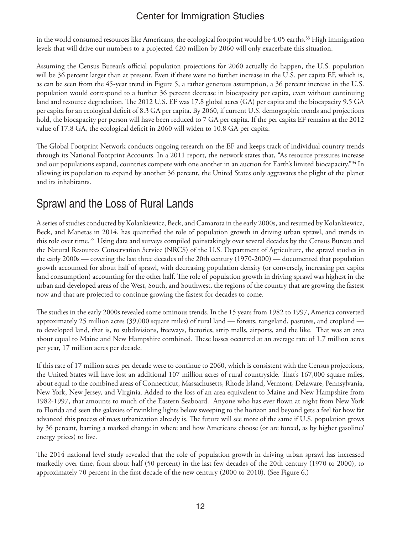in the world consumed resources like Americans, the ecological footprint would be 4.05 earths.<sup>33</sup> High immigration levels that will drive our numbers to a projected 420 million by 2060 will only exacerbate this situation.

Assuming the Census Bureau's official population projections for 2060 actually do happen, the U.S. population will be 36 percent larger than at present. Even if there were no further increase in the U.S. per capita EF, which is, as can be seen from the 45-year trend in Figure 5, a rather generous assumption, a 36 percent increase in the U.S. population would correspond to a further 36 percent decrease in biocapacity per capita, even without continuing land and resource degradation. The 2012 U.S. EF was 17.8 global acres (GA) per capita and the biocapacity 9.5 GA per capita for an ecological deficit of 8.3 GA per capita. By 2060, if current U.S. demographic trends and projections hold, the biocapacity per person will have been reduced to 7 GA per capita. If the per capita EF remains at the 2012 value of 17.8 GA, the ecological deficit in 2060 will widen to 10.8 GA per capita.

The Global Footprint Network conducts ongoing research on the EF and keeps track of individual country trends through its National Footprint Accounts. In a 2011 report, the network states that, "As resource pressures increase and our populations expand, countries compete with one another in an auction for Earth's limited biocapacity."34 In allowing its population to expand by another 36 percent, the United States only aggravates the plight of the planet and its inhabitants.

# Sprawl and the Loss of Rural Lands

A series of studies conducted by Kolankiewicz, Beck, and Camarota in the early 2000s, and resumed by Kolankiewicz, Beck, and Manetas in 2014, has quantified the role of population growth in driving urban sprawl, and trends in this role over time.35 Using data and surveys compiled painstakingly over several decades by the Census Bureau and the Natural Resources Conservation Service (NRCS) of the U.S. Department of Agriculture, the sprawl studies in the early 2000s — covering the last three decades of the 20th century (1970-2000) — documented that population growth accounted for about half of sprawl, with decreasing population density (or conversely, increasing per capita land consumption) accounting for the other half. The role of population growth in driving sprawl was highest in the urban and developed areas of the West, South, and Southwest, the regions of the country that are growing the fastest now and that are projected to continue growing the fastest for decades to come.

The studies in the early 2000s revealed some ominous trends. In the 15 years from 1982 to 1997, America converted approximately 25 million acres (39,000 square miles) of rural land — forests, rangeland, pastures, and cropland to developed land, that is, to subdivisions, freeways, factories, strip malls, airports, and the like. That was an area about equal to Maine and New Hampshire combined. These losses occurred at an average rate of 1.7 million acres per year, 17 million acres per decade.

If this rate of 17 million acres per decade were to continue to 2060, which is consistent with the Census projections, the United States will have lost an additional 107 million acres of rural countryside. That's 167,000 square miles, about equal to the combined areas of Connecticut, Massachusetts, Rhode Island, Vermont, Delaware, Pennsylvania, New York, New Jersey, and Virginia. Added to the loss of an area equivalent to Maine and New Hampshire from 1982-1997, that amounts to much of the Eastern Seaboard. Anyone who has ever flown at night from New York to Florida and seen the galaxies of twinkling lights below sweeping to the horizon and beyond gets a feel for how far advanced this process of mass urbanization already is. The future will see more of the same if U.S. population grows by 36 percent, barring a marked change in where and how Americans choose (or are forced, as by higher gasoline/ energy prices) to live.

The 2014 national level study revealed that the role of population growth in driving urban sprawl has increased markedly over time, from about half (50 percent) in the last few decades of the 20th century (1970 to 2000), to approximately 70 percent in the first decade of the new century (2000 to 2010). (See Figure 6.)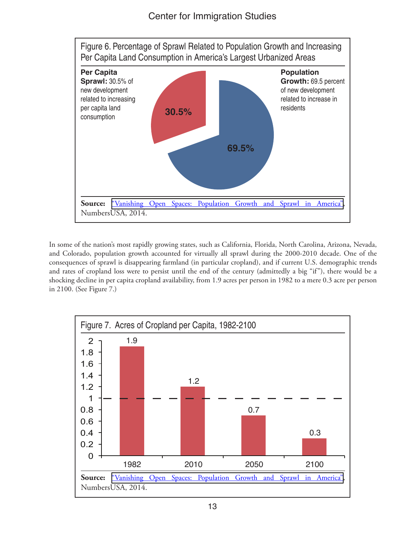

In some of the nation's most rapidly growing states, such as California, Florida, North Carolina, Arizona, Nevada, and Colorado, population growth accounted for virtually all sprawl during the 2000-2010 decade. One of the consequences of sprawl is disappearing farmland (in particular cropland), and if current U.S. demographic trends and rates of cropland loss were to persist until the end of the century (admittedly a big "if"), there would be a shocking decline in per capita cropland availability, from 1.9 acres per person in 1982 to a mere 0.3 acre per person in 2100. (See Figure 7.)

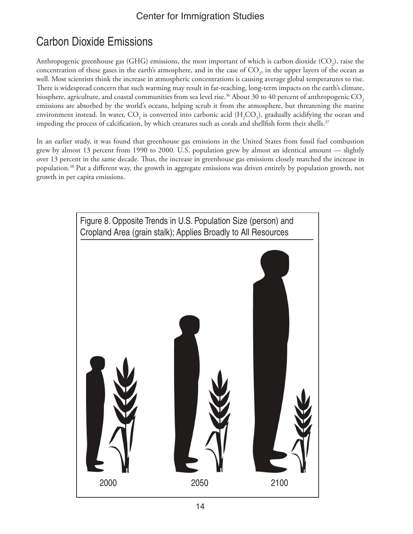# Carbon Dioxide Emissions

Anthropogenic greenhouse gas (GHG) emissions, the most important of which is carbon dioxide (CO<sub>2</sub>), raise the concentration of these gases in the earth's atmosphere, and in the case of  $\mathrm{CO}_2^{}$ , in the upper layers of the ocean as well. Most scientists think the increase in atmospheric concentrations is causing average global temperatures to rise. There is widespread concern that such warming may result in far-reaching, long-term impacts on the earth's climate, biosphere, agriculture, and coastal communities from sea level rise.<sup>36</sup> About 30 to 40 percent of anthropogenic CO<sub>2</sub> emissions are absorbed by the world's oceans, helping scrub it from the atmosphere, but threatening the marine environment instead. In water,  $\mathrm{CO}_2$  is converted into carbonic acid (H<sub>2</sub>CO<sub>3</sub>), gradually acidifying the ocean and impeding the process of calcification, by which creatures such as corals and shellfish form their shells.<sup>37</sup>

In an earlier study, it was found that greenhouse gas emissions in the United States from fossil fuel combustion grew by almost 13 percent from 1990 to 2000. U.S. population grew by almost an identical amount *—* slightly over 13 percent in the same decade. Thus, the increase in greenhouse gas emissions closely matched the increase in population.38 Put a different way, the growth in aggregate emissions was driven entirely by population growth, not growth in per capita emissions.

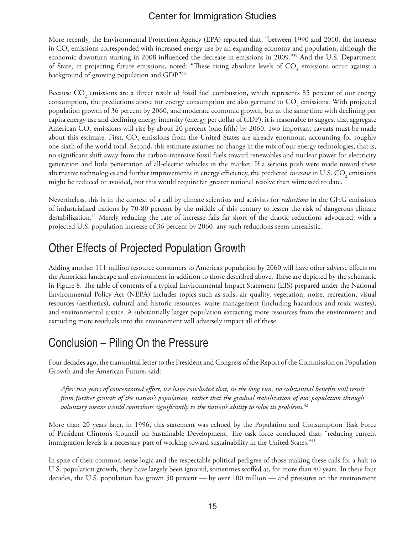More recently, the Environmental Protection Agency (EPA) reported that, "between 1990 and 2010, the increase in  $\mathrm{CO}_2$  emissions corresponded with increased energy use by an expanding economy and population, although the economic downturn starting in 2008 influenced the decrease in emissions in 2009."39 And the U.S. Department of State, in projecting future emissions, noted: "These rising absolute levels of CO<sub>2</sub> emissions occur against a background of growing population and GDP."40

Because CO<sub>2</sub> emissions are a direct result of fossil fuel combustion, which represents 85 percent of our energy consumption, the predictions above for energy consumption are also germane to CO<sub>2</sub> emissions. With projected population growth of 36 percent by 2060, and moderate economic growth, but at the same time with declining per capita energy use and declining energy intensity (energy per dollar of GDP), it is reasonable to suggest that aggregate American  $\mathrm{CO}_2$  emissions will rise by about 20 percent (one-fifth) by 2060. Two important caveats must be made about this estimate. First, CO<sub>2</sub> emissions from the United States are already enormous, accounting for roughly one-sixth of the world total. Second, this estimate assumes no change in the mix of our energy technologies, that is, no significant shift away from the carbon-intensive fossil fuels toward renewables and nuclear power for electricity generation and little penetration of all-electric vehicles in the market. If a serious push were made toward these alternative technologies and further improvements in energy efficiency, the predicted *increase* in U.S. CO<sub>2</sub> emissions might be reduced or avoided, but this would require far greater national resolve than witnessed to date.

Nevertheless, this is in the context of a call by climate scientists and activists for *reductions* in the GHG emissions of industrialized nations by 70-80 percent by the middle of this century to lessen the risk of dangerous climate destabilization.41 Merely reducing the rate of increase falls far short of the drastic reductions advocated; with a projected U.S. population increase of 36 percent by 2060, any such reductions seem unrealistic.

### Other Effects of Projected Population Growth

Adding another 111 million resource consumers to America's population by 2060 will have other adverse effects on the American landscape and environment in addition to those described above. These are depicted by the schematic in Figure 8. The table of contents of a typical Environmental Impact Statement (EIS) prepared under the National Environmental Policy Act (NEPA) includes topics such as soils, air quality, vegetation, noise, recreation, visual resources (aesthetics), cultural and historic resources, waste management (including hazardous and toxic wastes), and environmental justice. A substantially larger population extracting more resources from the environment and extruding more residuals into the environment will adversely impact all of these.

# Conclusion – Piling On the Pressure

Four decades ago, the transmittal letter to the President and Congress of the Report of the Commission on Population Growth and the American Future, said:

*After two years of concentrated effort, we have concluded that, in the long run, no substantial benefits will result from further growth of the nation's population, rather that the gradual stabilization of our population through voluntary means would contribute significantly to the nation's ability to solve its problems.*<sup>42</sup>

More than 20 years later, in 1996, this statement was echoed by the Population and Consumption Task Force of President Clinton's Council on Sustainable Development. The task force concluded that: "reducing current immigration levels is a necessary part of working toward sustainability in the United States."43

In spite of their common-sense logic and the respectable political pedigree of those making these calls for a halt to U.S. population growth, they have largely been ignored, sometimes scoffed at, for more than 40 years. In these four decades, the U.S. population has grown 50 percent *—* by over 100 million *—* and pressures on the environment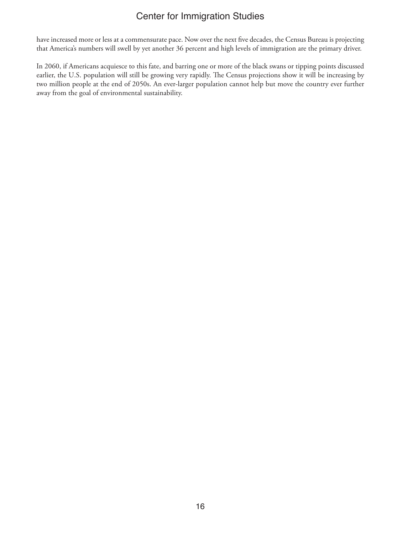have increased more or less at a commensurate pace. Now over the next five decades, the Census Bureau is projecting that America's numbers will swell by yet another 36 percent and high levels of immigration are the primary driver.

In 2060, if Americans acquiesce to this fate, and barring one or more of the black swans or tipping points discussed earlier, the U.S. population will still be growing very rapidly. The Census projections show it will be increasing by two million people at the end of 2050s. An ever-larger population cannot help but move the country ever further away from the goal of environmental sustainability.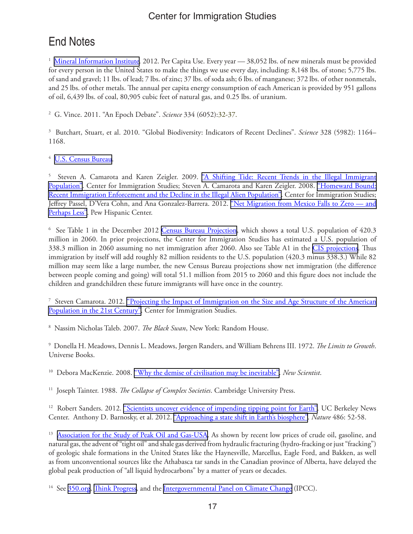# End Notes

<sup>1</sup> [Mineral Information Institute](http://www.mii.org/node/568)</u>. 2012. Per Capita Use. Every year — 38,052 lbs. of new minerals must be provided for every person in the United States to make the things we use every day, including: 8,148 lbs. of stone; 5,775 lbs. of sand and gravel; 11 lbs. of lead; 7 lbs. of zinc; 37 lbs. of soda ash; 6 lbs. of manganese; 372 lbs. of other nonmetals, and 25 lbs. of other metals. The annual per capita energy consumption of each American is provided by 951 gallons of oil, 6,439 lbs. of coal, 80,905 cubic feet of natural gas, and 0.25 lbs. of uranium.

2 G. Vince. 2011. "An Epoch Debate". *Science* 334 (6052):32-37.

3 Butchart, Stuart, et al. 2010. "Global Biodiversity: Indicators of Recent Declines". *Science* 328 (5982): 1164– 1168.

<sup>4</sup> [U.S. Census Bureau.](http://www.census.gov)

<sup>5</sup> Steven A. Camarota and Karen Zeigler. 2009. <u>["A Shifting Tide: Recent Trends in the Illegal Immigrant](http://www.cis.org/IllegalImmigration-ShiftingTide)</u> [Population"](http://www.cis.org/IllegalImmigration-ShiftingTide). Center for Immigration Studies; Steven A. Camarota and Karen Zeigler. 2008. ["Homeward Bound:](http://cis.org/trends_and_enforcement) [Recent Immigration Enforcement and the Decline in the Illegal Alien Population".](http://cis.org/trends_and_enforcement) Center for Immigration Studies; Jeffrey Passel, D'Vera Cohn, and Ana Gonzalez-Barrera. 2012. "Net Migration from Mexico Falls to Zero - and [Perhaps Less".](http://www.pewhispanic.org/2012/04/23/net-migration-from-mexico-falls-to-zero-and-perhaps-less/) Pew Hispanic Center.

<sup>6</sup> See Table 1 in the December 2012 <u>[Census Bureau Projection](http://www.census.gov/population/projections/data/national/2012.html)</u>, which shows a total U.S. population of 420.3 million in 2060. In prior projections, the Center for Immigration Studies has estimated a U.S. population of 338.3 million in 2060 assuming no net immigration after 2060. Also see Table A1 in the [CIS projections.](http://cis.org/sites/default/files/camarota-projecting-age-structure.pdf) Thus immigration by itself will add roughly 82 million residents to the U.S. population (420.3 minus 338.3.) While 82 million may seem like a large number, the new Census Bureau projections show net immigration (the difference between people coming and going) will total 51.1 million from 2015 to 2060 and this figure does not include the children and grandchildren these future immigrants will have once in the country.

<sup>7</sup> Steven Camarota. 2012. <u>"Projecting the Impact of Immigration on the Size and Age Structure of the American</u> [Population in the 21st Century".](http://cis.org/sites/default/files/camarota-projecting-age-structure.pdf) Center for Immigration Studies.

8 Nassim Nicholas Taleb. 2007. *The Black Swan*, New York: Random House.

9 Donella H. Meadows, Dennis L. Meadows, Jørgen Randers, and William Behrens III. 1972. *The Limits to Growth*. Universe Books.

10 Debora MacKenzie. 2008. ["Why the demise of civilisation may be inevitable".](http://www.newscientist.com/article/mg19826501.500-why-the-demise-of-civilisation-may-be-inevitable.html) *New Scientist*.

11 Joseph Tainter. 1988. *The Collapse of Complex Societies*. Cambridge University Press.

<sup>12</sup> Robert Sanders. 2012. ["Scientists uncover evidence of impending tipping point for Earth"](http://newscenter.berkeley.edu/2012/06/06/scientists-uncover-evidence-of-impending-tipping-point-for-earth/). UC Berkeley News Center. Anthony D. Barnosky, et al. 2012. ["Approaching a state shift in Earth's biosphere"](http://www.nature.com/nature/journal/v486/n7401/full/nature11018.html). *Nature* 486: 52-58.

<sup>13</sup> [Association for the Study of Peak Oil and Gas-USA.](http://aspousa.org/) As shown by recent low prices of crude oil, gasoline, and natural gas, the advent of "tight oil" and shale gas derived from hydraulic fracturing (hydro-fracking or just "fracking") of geologic shale formations in the United States like the Haynesville, Marcellus, Eagle Ford, and Bakken, as well as from unconventional sources like the Athabasca tar sands in the Canadian province of Alberta, have delayed the global peak production of "all liquid hydrocarbons" by a matter of years or decades.

<sup>14</sup> See [350.org,](http://www.350.org) [Think Progress](http://thinkprogress.org/climate/issue/?mobile=nc), and the [Intergovernmental Panel on Climate Change](http://www.ipcc.ch/) (IPCC).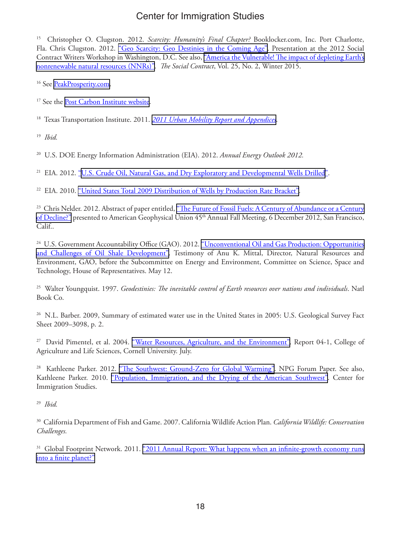15 Christopher O. Clugston. 2012. *Scarcity: Humanity's Final Chapter?* Booklocker.com, Inc. Port Charlotte, Fla. Chris Clugston. 2012. ["Geo Scarcity: Geo Destinies in the Coming Age"](http://www.youtube.com/watch?v=-mwTtTAxoZk&list=PLLUXnZo-yFXC199iiRLnKZml8AX78jWXZ&index=5&feature=plcp). Presentation at the 2012 Social Contract Writers Workshop in Washington, D.C. See also, ["America the Vulnerable! The impact of depleting Earth's](http://www.thesocialcontract.com/artman2/publish/tsc_25_2/tsc_25_2_clugston.shtml) [nonrenewable natural resources \(NNRs\)"](http://www.thesocialcontract.com/artman2/publish/tsc_25_2/tsc_25_2_clugston.shtml). *The Social Contract*, Vol. 25, No. 2, Winter 2015.

<sup>16</sup> See [PeakProsperity.com](http://www.peakprosperity.com/).

<sup>17</sup> See the [Post Carbon Institute website](http://www.postcarbon.org/).

18 Texas Transportation Institute. 2011. *[2011 Urban Mobility Report and Appendices](http://mobility.tamu.edu/ums/report/)*.

19 *Ibid.*

20 U.S. DOE Energy Information Administration (EIA). 2012. *Annual Energy Outlook 2012.* 

<sup>21</sup> EIA. 2012. ["U.S. Crude Oil, Natural Gas, and Dry Exploratory and Developmental Wells Drilled"](http://www.eia.gov/dnav/pet/hist/LeafHandler.ashx?n=PET&s=E_ERTW0_XWC0_NUS_C&f=A).

<sup>22</sup> EIA. 2010. ["United States Total 2009 Distribution of Wells by Production Rate Bracket"](http://www.eia.gov/pub/oil_gas/petrosystem/us_table.html).

<sup>23</sup> Chris Nelder. 2012. Abstract of paper entitled, "The Future of Fossil Fuels: A Century of Abundance or a Century [of Decline?"](ftp://ftp.agu.org/incoming/pub/os-section_u008-speakers-and-abstracts.pdf) presented to American Geophysical Union 45<sup>th</sup> Annual Fall Meeting, 6 December 2012, San Francisco, Calif..

<sup>24</sup> U.S. Government Accountability Office (GAO). 2012. "Unconventional Oil and Gas Production: Opportunities [and Challenges of Oil Shale Development"](http://www.gao.gov/assets/600/590761.pdf). Testimony of Anu K. Mittal, Director, Natural Resources and Environment, GAO, before the Subcommittee on Energy and Environment, Committee on Science, Space and Technology, House of Representatives. May 12.

25 Walter Youngquist. 1997. *Geodestinies: The inevitable control of Earth resources over nations and individuals*. Natl Book Co.

<sup>26</sup> N.L. Barber. 2009, Summary of estimated water use in the United States in 2005: U.S. Geological Survey Fact Sheet 2009–3098, p. 2.

<sup>27</sup> David Pimentel, et al. 2004. ["Water Resources, Agriculture, and the Environment".](http://ecommons.library.cornell.edu/bitstream/1813/352/1/pimentel_report_04-1.pdf) Report 04-1, College of Agriculture and Life Sciences, Cornell University. July.

<sup>28</sup> Kathleene Parker. 2012. ["The Southwest: Ground-Zero for Global Warming".](http://www.npg.org/forum_series/TheSouthwest-GroundZeroGlobalWarming.pdf) NPG Forum Paper. See also, Kathleene Parker. 2010. ["Population, Immigration, and the Drying of the American Southwest".](http://cis.org/southwest-water-population-growth) Center for Immigration Studies.

29 *Ibid.*

30 California Department of Fish and Game. 2007. California Wildlife Action Plan. *California Wildlife: Conservation Challenges.*

<sup>31</sup> Global Footprint Network. 2011. "2011 Annual Report: What happens when an infinite-growth economy runs [into a finite planet?"](http://www.footprintnetwork.org/images/article_uploads/Annual_Report_2011.pdf)